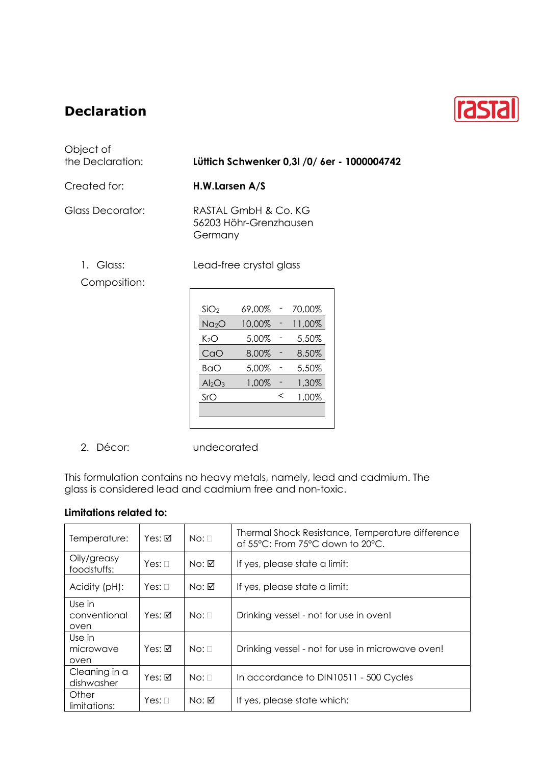## **Declaration**



| Object of<br>the Declaration: | Lüttich Schwenker 0,31 /0/ 6er - 1000004742               |  |  |
|-------------------------------|-----------------------------------------------------------|--|--|
| Created for:                  | H.W.Larsen A/S                                            |  |  |
| Glass Decorator:              | RASTAL GmbH & Co. KG<br>56203 Höhr-Grenzhausen<br>Germany |  |  |
| 1. Glass:<br>Composition:     | Lead-free crystal glass                                   |  |  |
|                               | SiO <sub>2</sub><br>69,00%<br>70,00%                      |  |  |
|                               | 10,00%<br>11,00%<br>Na <sub>2</sub> O                     |  |  |
|                               | K <sub>2</sub> O<br>5,00%<br>5,50%                        |  |  |
|                               | CaO<br>8,00%<br>8,50%                                     |  |  |
|                               | 5,00%<br>5,50%<br><b>BaO</b>                              |  |  |
|                               | 1,30%<br>1,00%<br>Al <sub>2</sub> O <sub>3</sub>          |  |  |

2. Décor: undecorated

This formulation contains no heavy metals, namely, lead and cadmium. The glass is considered lead and cadmium free and non-toxic.

 $SrO$   $\leq$  1,00%

## **Limitations related to:**

| Temperature:                   | Yes: $\boxtimes$ | $No: \Box$ | Thermal Shock Resistance, Temperature difference<br>of 55°C: From 75°C down to 20°C. |
|--------------------------------|------------------|------------|--------------------------------------------------------------------------------------|
| Oily/greasy<br>foodstuffs:     | Yes: $\Box$      | No: ☑      | If yes, please state a limit:                                                        |
| Acidity (pH):                  | $Yes: \Box$      | No: ☑      | If yes, please state a limit:                                                        |
| Use in<br>conventional<br>oven | $Yes: \nabla$    | $No: \Box$ | Drinking vessel - not for use in oven!                                               |
| Use in<br>microwave<br>oven    | Yes: ☑           | $No: \Box$ | Drinking vessel - not for use in microwave oven!                                     |
| Cleaning in a<br>dishwasher    | Yes: ☑           | $No: \Box$ | In accordance to DIN10511 - 500 Cycles                                               |
| Other<br>limitations:          | Yes: $\Box$      | No: ☑      | If yes, please state which:                                                          |